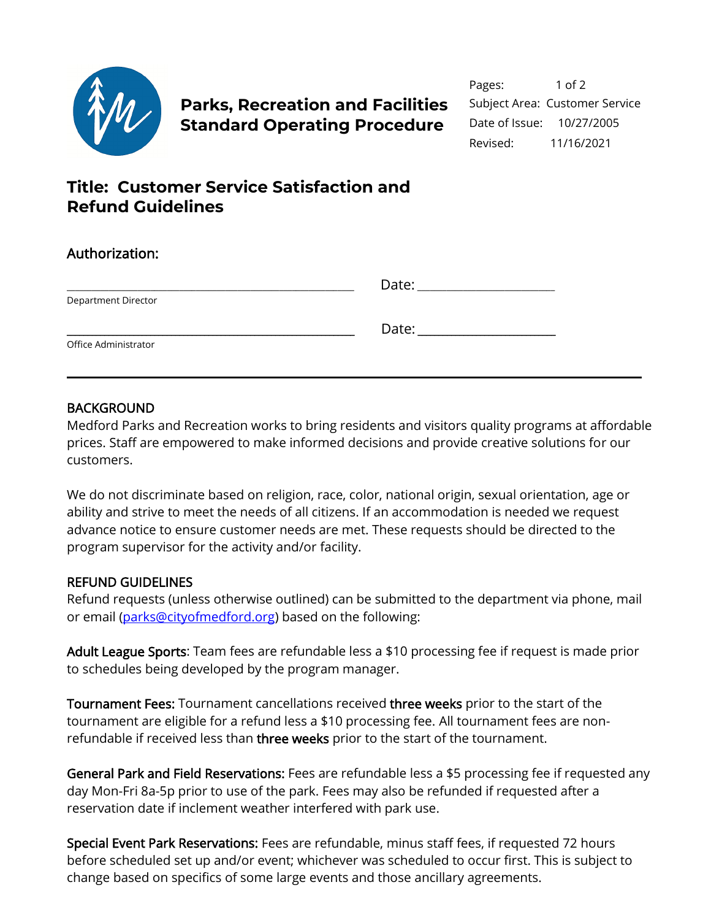

# Parks, Recreation and Facilities Subject Area: Customer Service **Standard Operating Procedure** Date of Issue: 10/27/2005

# **Title: Customer Service Satisfaction and Refund Guidelines**

| Authorization:       |                                                                                                                                                                                                                                |
|----------------------|--------------------------------------------------------------------------------------------------------------------------------------------------------------------------------------------------------------------------------|
|                      | Date: the contract of the contract of the contract of the contract of the contract of the contract of the contract of the contract of the contract of the contract of the contract of the contract of the contract of the cont |
| Department Director  |                                                                                                                                                                                                                                |
|                      | Date: Date:                                                                                                                                                                                                                    |
| Office Administrator |                                                                                                                                                                                                                                |

### **BACKGROUND**

Medford Parks and Recreation works to bring residents and visitors quality programs at affordable prices. Staff are empowered to make informed decisions and provide creative solutions for our customers.

We do not discriminate based on religion, race, color, national origin, sexual orientation, age or ability and strive to meet the needs of all citizens. If an accommodation is needed we request advance notice to ensure customer needs are met. These requests should be directed to the program supervisor for the activity and/or facility.

### REFUND GUIDELINES

Refund requests (unless otherwise outlined) can be submitted to the department via phone, mail or email [\(parks@cityofmedford.org\)](mailto:parks@cityofmedford.org) based on the following:

Adult League Sports: Team fees are refundable less a \$10 processing fee if request is made prior to schedules being developed by the program manager.

Tournament Fees: Tournament cancellations received three weeks prior to the start of the tournament are eligible for a refund less a \$10 processing fee. All tournament fees are nonrefundable if received less than three weeks prior to the start of the tournament.

General Park and Field Reservations: Fees are refundable less a \$5 processing fee if requested any day Mon-Fri 8a-5p prior to use of the park. Fees may also be refunded if requested after a reservation date if inclement weather interfered with park use.

Special Event Park Reservations: Fees are refundable, minus staff fees, if requested 72 hours before scheduled set up and/or event; whichever was scheduled to occur first. This is subject to change based on specifics of some large events and those ancillary agreements.